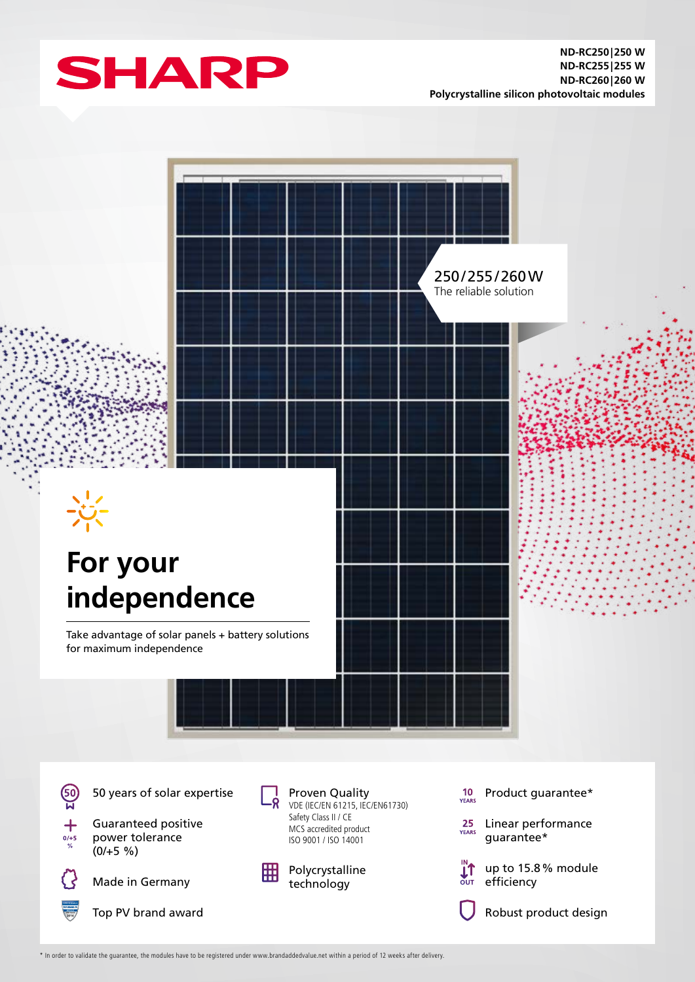



\* In order to validate the guarantee, the modules have to be registered under www.brandaddedvalue.net within a period of 12 weeks after delivery.